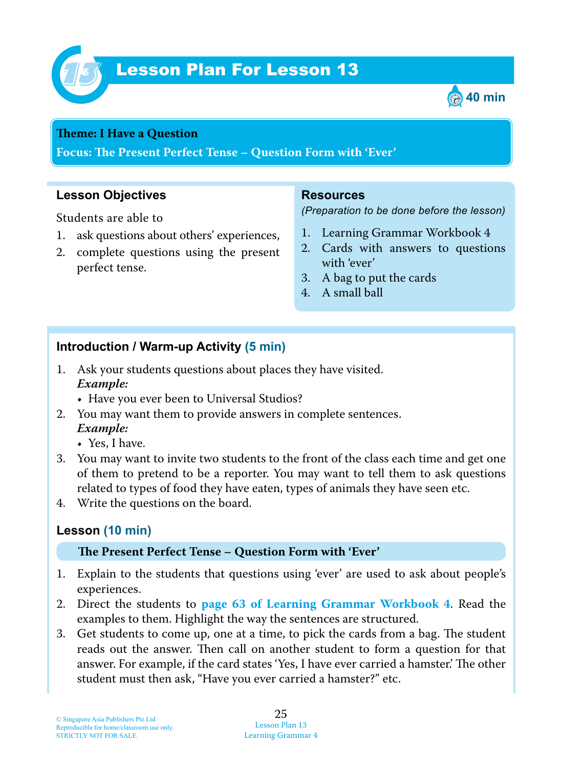

# Lesson Plan For Lesson 13 *13*



#### **Teme : I Have a Question**

**Focus: Te Present Perfect Tense – Question Form with 'Ever'**

## **Lesson Objectives**

Students are able to

- 1. ask questions about others' experiences,
- 2. complete questions using the present perfect tense.

#### **Resources**

*(Preparation to be done before the lesson)*

- 1. Learning Grammar Workbook 4
- 2. Cards with answers to questions with 'ever'
- 3. A bag to put the cards
- 4. A small ball

### **Introduction / Warm-up Activity (5 min)**

- 1. Ask your students questions about places they have visited.  *Example:*
	- Have you ever been to Universal Studios?
- 2. You may want them to provide answers in complete sentences.  *Example:*
	- Yes, I have.
- 3. You may want to invite two students to the front of the class each time and get one of them to pretend to be a reporter. You may want to tell them to ask questions related to types of food they have eaten, types of animals they have seen etc.
- 4. Write the questions on the board.

## **Lesson (10 min)**

#### **Te Present Perfect Tense – Question Form with 'Ever'**

- 1. Explain to the students that questions using 'ever' are used to ask about people's experiences.
- 2. Direct the students to **page 63 of Learning Grammar Workbook 4**. Read the examples to them. Highlight the way the sentences are structured.
- 3. Get students to come up, one at a time, to pick the cards from a bag. The student reads out the answer. Then call on another student to form a question for that answer. For example, if the card states 'Yes, I have ever carried a hamster.' The other student must then ask, "Have you ever carried a hamster?" etc.